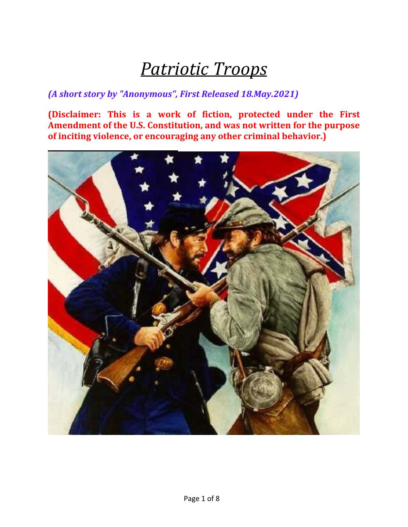# *Patriotic Troops*

#### *(A short story by "Anonymous", First Released 18.May.2021)*

**(Disclaimer: This is a work of fiction, protected under the First Amendment of the U.S. Constitution, and was not written for the purpose of inciting violence, or encouraging any other criminal behavior.)**

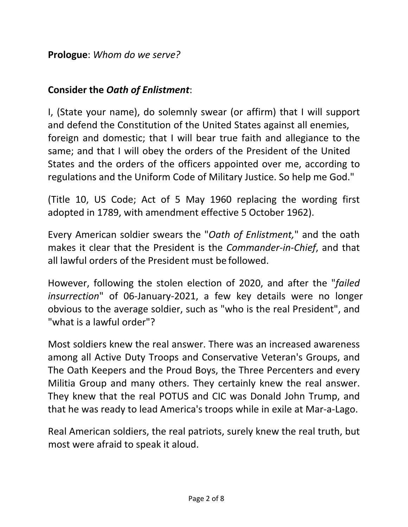**Prologue**: *Whom do we serve?*

#### **Consider the** *Oath of Enlistment*:

I, (State your name), do solemnly swear (or affirm) that I will support and defend the Constitution of the United States against all enemies, foreign and domestic; that I will bear true faith and allegiance to the same; and that I will obey the orders of the President of the United States and the orders of the officers appointed over me, according to regulations and the Uniform Code of Military Justice. So help me God."

(Title 10, US Code; Act of 5 May 1960 replacing the wording first adopted in 1789, with amendment effective 5 October 1962).

Every American soldier swears the "*Oath of Enlistment,*" and the oath makes it clear that the President is the *Commander‐in‐Chief*, and that all lawful orders of the President must be followed.

However, following the stolen election of 2020, and after the "*failed insurrection*" of 06‐January‐2021, a few key details were no longer obvious to the average soldier, such as "who is the real President", and "what is a lawful order"?

Most soldiers knew the real answer. There was an increased awareness among all Active Duty Troops and Conservative Veteran's Groups, and The Oath Keepers and the Proud Boys, the Three Percenters and every Militia Group and many others. They certainly knew the real answer. They knew that the real POTUS and CIC was Donald John Trump, and that he was ready to lead America's troops while in exile at Mar‐a‐Lago.

Real American soldiers, the real patriots, surely knew the real truth, but most were afraid to speak it aloud.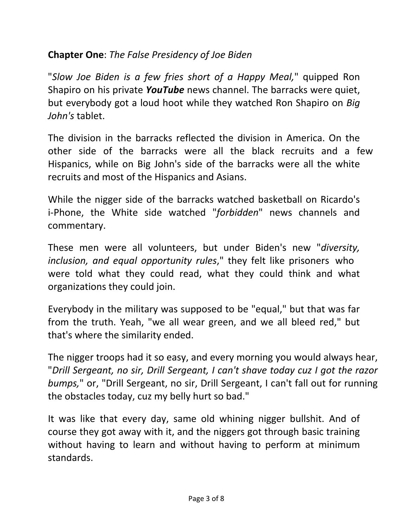## **Chapter One**: *The False Presidency of Joe Biden*

"*Slow Joe Biden is a few fries short of a Happy Meal,*" quipped Ron Shapiro on his private *YouTube* news channel. The barracks were quiet, but everybody got a loud hoot while they watched Ron Shapiro on *Big John's* tablet.

The division in the barracks reflected the division in America. On the other side of the barracks were all the black recruits and a few Hispanics, while on Big John's side of the barracks were all the white recruits and most of the Hispanics and Asians.

While the nigger side of the barracks watched basketball on Ricardo's i‐Phone, the White side watched "*forbidden*" news channels and commentary.

These men were all volunteers, but under Biden's new "*diversity, inclusion, and equal opportunity rules*," they felt like prisoners who were told what they could read, what they could think and what organizations they could join.

Everybody in the military was supposed to be "equal," but that was far from the truth. Yeah, "we all wear green, and we all bleed red," but that's where the similarity ended.

The nigger troops had it so easy, and every morning you would always hear, "*Drill Sergeant, no sir, Drill Sergeant, I can't shave today cuz I got the razor bumps,*" or, "Drill Sergeant, no sir, Drill Sergeant, I can't fall out for running the obstacles today, cuz my belly hurt so bad."

It was like that every day, same old whining nigger bullshit. And of course they got away with it, and the niggers got through basic training without having to learn and without having to perform at minimum standards.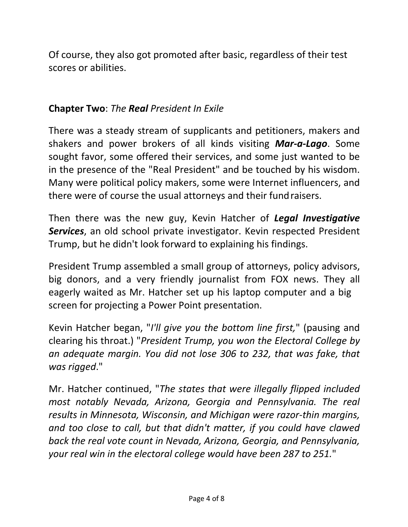Of course, they also got promoted after basic, regardless of their test scores or abilities.

### **Chapter Two**: *The Real President In Exile*

There was a steady stream of supplicants and petitioners, makers and shakers and power brokers of all kinds visiting *Mar‐a‐Lago*. Some sought favor, some offered their services, and some just wanted to be in the presence of the "Real President" and be touched by his wisdom. Many were political policy makers, some were Internet influencers, and there were of course the usual attorneys and their fundraisers.

Then there was the new guy, Kevin Hatcher of *Legal Investigative Services*, an old school private investigator. Kevin respected President Trump, but he didn't look forward to explaining his findings.

President Trump assembled a small group of attorneys, policy advisors, big donors, and a very friendly journalist from FOX news. They all eagerly waited as Mr. Hatcher set up his laptop computer and a big screen for projecting a Power Point presentation.

Kevin Hatcher began, "*I'll give you the bottom line first,*" (pausing and clearing his throat.) "*President Trump, you won the Electoral College by an adequate margin. You did not lose 306 to 232, that was fake, that was rigged*."

Mr. Hatcher continued, "*The states that were illegally flipped included most notably Nevada, Arizona, Georgia and Pennsylvania. The real results in Minnesota, Wisconsin, and Michigan were razor‐thin margins, and too close to call, but that didn't matter, if you could have clawed back the real vote count in Nevada, Arizona, Georgia, and Pennsylvania, your real win in the electoral college would have been 287 to 251.*"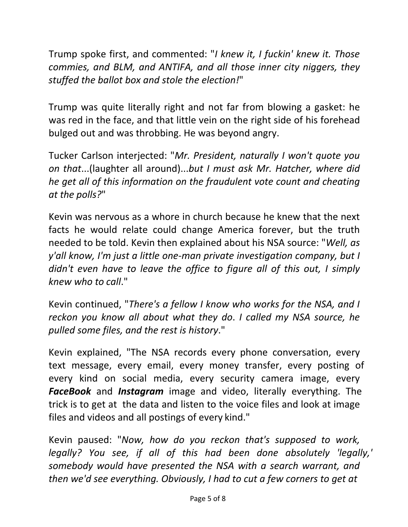Trump spoke first, and commented: "*I knew it, I fuckin' knew it. Those commies, and BLM, and ANTIFA, and all those inner city niggers, they stuffed the ballot box and stole the election!*"

Trump was quite literally right and not far from blowing a gasket: he was red in the face, and that little vein on the right side of his forehead bulged out and was throbbing. He was beyond angry.

Tucker Carlson interjected: "*Mr. President, naturally I won't quote you on that*...(laughter all around)...*but I must ask Mr. Hatcher, where did he get all of this information on the fraudulent vote count and cheating at the polls?*"

Kevin was nervous as a whore in church because he knew that the next facts he would relate could change America forever, but the truth needed to be told. Kevin then explained about his NSA source: "*Well, as y'all know, I'm just a little one‐man private investigation company, but I didn't even have to leave the office to figure all of this out, I simply knew who to call*."

Kevin continued, "*There's a fellow I know who works for the NSA, and I reckon you know all about what they do*. *I called my NSA source, he pulled some files, and the rest is history*."

Kevin explained, "The NSA records every phone conversation, every text message, every email, every money transfer, every posting of every kind on social media, every security camera image, every *FaceBook* and *Instagram* image and video, literally everything. The trick is to get at the data and listen to the voice files and look at image files and videos and all postings of every kind."

Kevin paused: "*Now, how do you reckon that's supposed to work, legally? You see, if all of this had been done absolutely 'legally,' somebody would have presented the NSA with a search warrant, and then we'd see everything. Obviously, I had to cut a few corners to get at*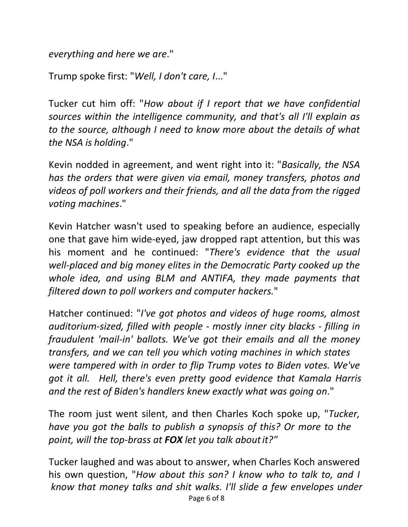*everything and here we are*."

Trump spoke first: "*Well, I don't care, I*..."

Tucker cut him off: "*How about if I report that we have confidential sources within the intelligence community, and that's all I'll explain as to the source, although I need to know more about the details of what the NSA is holding*."

Kevin nodded in agreement, and went right into it: "*Basically, the NSA has the orders that were given via email, money transfers, photos and videos of poll workers and their friends, and all the data from the rigged voting machines*."

Kevin Hatcher wasn't used to speaking before an audience, especially one that gave him wide‐eyed, jaw dropped rapt attention, but this was his moment and he continued: "*There's evidence that the usual well‐placed and big money elites in the Democratic Party cooked up the whole idea, and using BLM and ANTIFA, they made payments that filtered down to poll workers and computer hackers.*"

Hatcher continued: "*I've got photos and videos of huge rooms, almost auditorium‐sized, filled with people ‐ mostly inner city blacks ‐ filling in fraudulent 'mail‐in' ballots. We've got their emails and all the money transfers, and we can tell you which voting machines in which states were tampered with in order to flip Trump votes to Biden votes. We've got it all. Hell, there's even pretty good evidence that Kamala Harris and the rest of Biden's handlers knew exactly what was going on*."

The room just went silent, and then Charles Koch spoke up, "*Tucker, have you got the balls to publish a synopsis of this? Or more to the point, will the top‐brass at FOX let you talk aboutit?"*

Tucker laughed and was about to answer, when Charles Koch answered his own question, "*How about this son? I know who to talk to, and I know that money talks and shit walks. I'll slide a few envelopes under* Page 6 of 8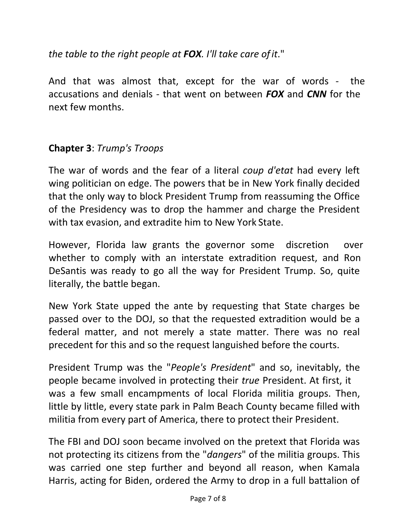*the table to the right people at FOX. I'll take care ofit*."

And that was almost that, except for the war of words ‐ the accusations and denials ‐ that went on between *FOX* and *CNN* for the next few months.

## **Chapter 3**: *Trump's Troops*

The war of words and the fear of a literal *coup d'etat* had every left wing politician on edge. The powers that be in New York finally decided that the only way to block President Trump from reassuming the Office of the Presidency was to drop the hammer and charge the President with tax evasion, and extradite him to New York State.

However, Florida law grants the governor some discretion over whether to comply with an interstate extradition request, and Ron DeSantis was ready to go all the way for President Trump. So, quite literally, the battle began.

New York State upped the ante by requesting that State charges be passed over to the DOJ, so that the requested extradition would be a federal matter, and not merely a state matter. There was no real precedent for this and so the request languished before the courts.

President Trump was the "*People's President*" and so, inevitably, the people became involved in protecting their *true* President. At first, it was a few small encampments of local Florida militia groups. Then, little by little, every state park in Palm Beach County became filled with militia from every part of America, there to protect their President.

The FBI and DOJ soon became involved on the pretext that Florida was not protecting its citizens from the "*dangers*" of the militia groups. This was carried one step further and beyond all reason, when Kamala Harris, acting for Biden, ordered the Army to drop in a full battalion of